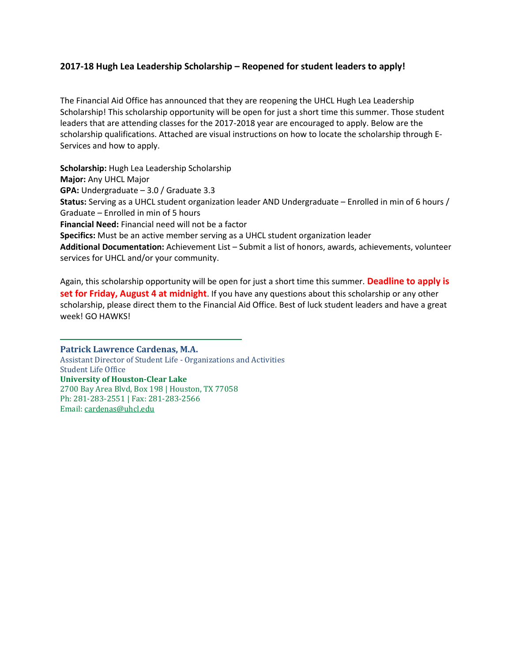## **2017-18 Hugh Lea Leadership Scholarship – Reopened for student leaders to apply!**

The Financial Aid Office has announced that they are reopening the UHCL Hugh Lea Leadership Scholarship! This scholarship opportunity will be open for just a short time this summer. Those student leaders that are attending classes for the 2017-2018 year are encouraged to apply. Below are the scholarship qualifications. Attached are visual instructions on how to locate the scholarship through E-Services and how to apply.

**Scholarship:** Hugh Lea Leadership Scholarship **Major:** Any UHCL Major **GPA:** Undergraduate – 3.0 / Graduate 3.3 **Status:** Serving as a UHCL student organization leader AND Undergraduate – Enrolled in min of 6 hours / Graduate – Enrolled in min of 5 hours **Financial Need:** Financial need will not be a factor **Specifics:** Must be an active member serving as a UHCL student organization leader **Additional Documentation:** Achievement List – Submit a list of honors, awards, achievements, volunteer services for UHCL and/or your community.

Again, this scholarship opportunity will be open for just a short time this summer. **Deadline to apply is set for Friday, August 4 at midnight**. If you have any questions about this scholarship or any other scholarship, please direct them to the Financial Aid Office. Best of luck student leaders and have a great week! GO HAWKS!

**Patrick Lawrence Cardenas, M.A.** Assistant Director of Student Life - Organizations and Activities Student Life Office **University of Houston-Clear Lake** 2700 Bay Area Blvd, Box 198 | Houston, TX 77058 Ph: 281-283-2551 | Fax: 281-283-2566 Email[: cardenas@uhcl.edu](mailto:cardenas@uhcl.edu)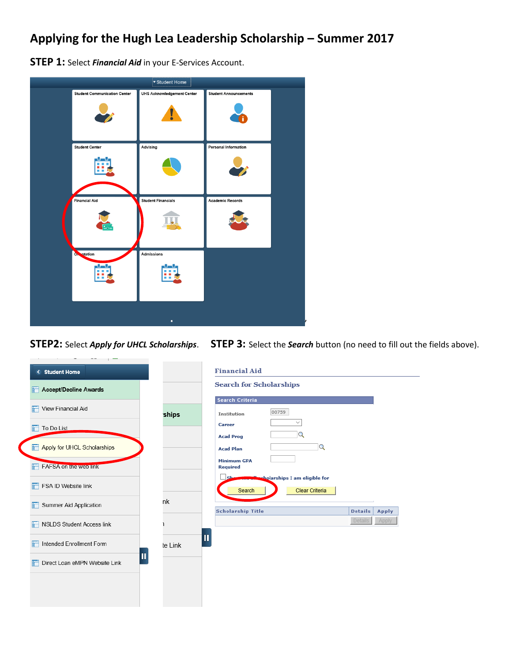## **Applying for the Hugh Lea Leadership Scholarship – Summer 2017**

**STEP 1:** Select *Financial Aid* in your E-Services Account.



**STEP2:** Select *Apply for UHCL Scholarships*. **STEP 3:** Select the *Search* button (no need to fill out the fields above).

| < Student Home                     |              | <b>Financial Aid</b>                                            |                |       |
|------------------------------------|--------------|-----------------------------------------------------------------|----------------|-------|
| <b>Accept/Decline Awards</b>       |              | <b>Search for Scholarships</b>                                  |                |       |
| View Financial Aid                 | ships        | <b>Search Criteria</b><br>00759<br><b>Institution</b>           |                |       |
| To Do List<br>÷                    |              | $\checkmark$<br>Career<br>Q<br><b>Acad Prog</b>                 |                |       |
| Apply for UHCL Scholarships<br>F   |              | Q<br><b>Acad Plan</b>                                           |                |       |
| <b>FAFSA on the web link</b>       |              | <b>Minimum GPA</b><br><b>Required</b>                           |                |       |
| FSA ID Website link                |              | sholarships I am eligible for<br>Sh<br>Clear Criteria<br>Search |                |       |
| Summer Aid Application<br>缸        | nk           | <b>Scholarship Title</b>                                        | <b>Details</b> | Apply |
| <b>NSLDS Student Access link</b>   |              |                                                                 | Details        | Apply |
| Intended Enrollment Form           | П<br>te Link |                                                                 |                |       |
| П<br>Direct Loan eMPN Website Link |              |                                                                 |                |       |
|                                    |              |                                                                 |                |       |
|                                    |              |                                                                 |                |       |